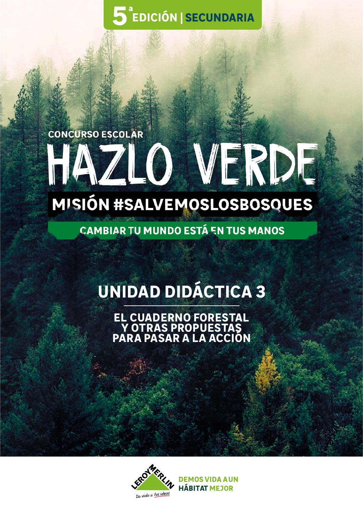5<sup>ª</sup>EDICIÓN | SECUNDARIA

## **CONCURSO ESCOLAR** HAZLO VERDE

## MISIÓN #SALVEMOSLOSBOSOUES

**CAMBIAR TU MUNDO ESTÁ EN TUS MANOS** 

### **UNIDAD DIDÁCTICA 3**

**EL CUADERNO FORESTAL Y OTRAS PROPUESTAS PARA PASAR A LA ACCIÓN**



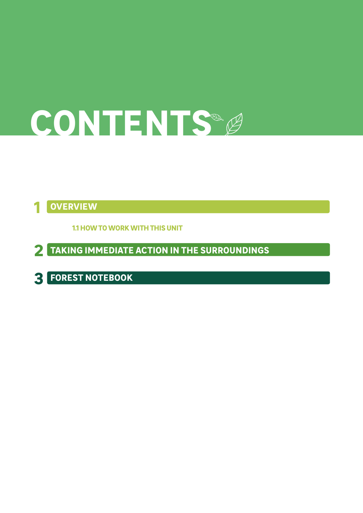# **CONTENTS**

#### **1 OVERVIEW**

**1.1 HOW TO WORK WITH THIS UNIT**

**2 TAKING IMMEDIATE ACTION IN THE SURROUNDINGS**

**3 FOREST NOTEBOOK**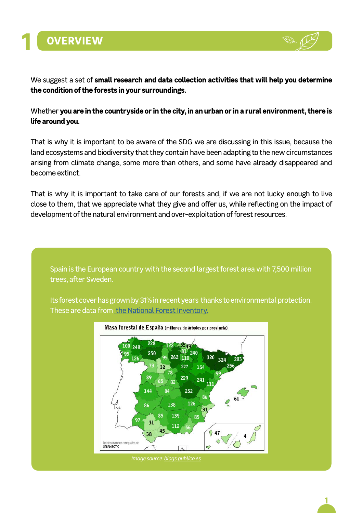



We suggest a set of **small research and data collection activities that will help you determine the condition of the forests in your surroundings.**

#### Whether **you are in the countryside or in the city, in an urban or in a rural environment, there is life around you.**

That is why it is important to be aware of the SDG we are discussing in this issue, because the land ecosystems and biodiversity that they contain have been adapting to the new circumstances arising from climate change, some more than others, and some have already disappeared and become extinct.

That is why it is important to take care of our forests and, if we are not lucky enough to live close to them, that we appreciate what they give and offer us, while reflecting on the impact of development of the natural environment and over-exploitation of forest resources.

Spain is the European country with the second largest forest area with 7,500 million trees, after Sweden.

Its forest cover has grown by 31% in recent years thanks to environmental protection. These are data from [the National Forest Inventory.](https://www.mapa.gob.es/es/desarrollo-rural/temas/politica-forestal/inventario-cartografia/)

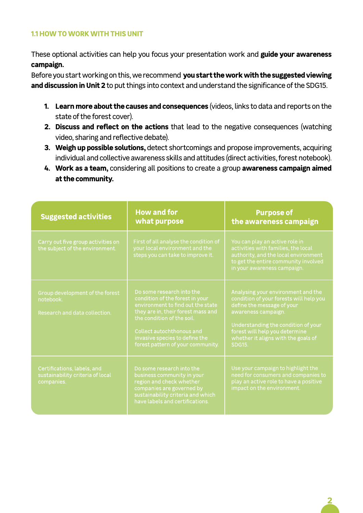#### **1.1 HOW TO WORK WITH THIS UNIT**

These optional activities can help you focus your presentation work and **guide your awareness campaign.**

Before you start working on this, we recommend **you start the work with the suggested viewing and discussion in Unit 2** to put things into context and understand the significance of the SDG15.

- **1. Learn more about the causes and consequences** (videos, links to data and reports on the state of the forest cover).
- **2. Discuss and reflect on the actions** that lead to the negative consequences (watching video, sharing and reflective debate).
- **3. Weigh up possible solutions,** detect shortcomings and propose improvements, acquiring individual and collective awareness skills and attitudes (direct activities, forest notebook).
- **4. Work as a team,** considering all positions to create a group **awareness campaign aimed at the community.**

| <b>Suggested activities</b>                                                   | <b>How and for</b><br>what purpose                                                                                                                                                                                                                                        | <b>Purpose of</b><br>the awareness campaign                                                                                                                                                                                                                         |
|-------------------------------------------------------------------------------|---------------------------------------------------------------------------------------------------------------------------------------------------------------------------------------------------------------------------------------------------------------------------|---------------------------------------------------------------------------------------------------------------------------------------------------------------------------------------------------------------------------------------------------------------------|
| Carry out five group activities on<br>the subject of the environment.         | First of all analyse the condition of<br>your local environment and the<br>steps you can take to improve it.                                                                                                                                                              | You can play an active role in<br>activities with families, the local<br>authority, and the local environment<br>to get the entire community involved<br>in your awareness campaign.                                                                                |
| Group development of the forest<br>notebook.<br>Research and data collection. | Do some research into the<br>condition of the forest in your<br>environment to find out the state<br>they are in, their forest mass and<br>the condition of the soil.<br>Collect autochthonous and<br>invasive species to define the<br>forest pattern of your community. | Analysing your environment and the<br>condition of your forests will help you<br>define the message of your<br>awareness campaign.<br>Understanding the condition of your<br>forest will help you determine<br>whether it aligns with the goals of<br><b>SDG15.</b> |
| Certifications, labels, and<br>sustainability criteria of local<br>companies. | Do some research into the<br>business community in your<br>region and check whether<br>companies are governed by<br>sustainability criteria and which<br>have labels and certifications.                                                                                  | Use your campaign to highlight the<br>need for consumers and companies to<br>play an active role to have a positive<br>impact on the environment.                                                                                                                   |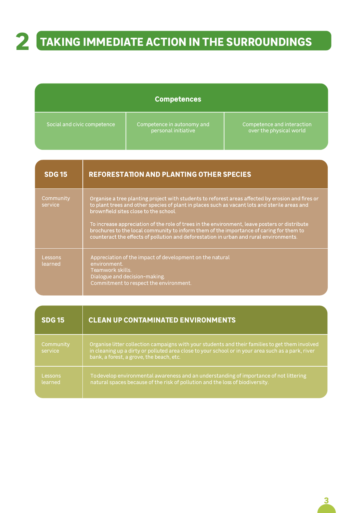### **2 TAKING IMMEDIATE ACTION IN THE SURROUNDINGS**

| <b>Competences</b> |  |
|--------------------|--|
|                    |  |

| Social and civic competence | Competence in autonomy and<br>personal initiative | Competence and interaction<br>over the physical world |
|-----------------------------|---------------------------------------------------|-------------------------------------------------------|
|                             |                                                   |                                                       |

| <b>SDG15</b>         | <b>REFORESTATION AND PLANTING OTHER SPECIES</b>                                                                                                                                                                                                                                                                                                                                                                                                                                                                                   |
|----------------------|-----------------------------------------------------------------------------------------------------------------------------------------------------------------------------------------------------------------------------------------------------------------------------------------------------------------------------------------------------------------------------------------------------------------------------------------------------------------------------------------------------------------------------------|
| Community<br>service | Organise a tree planting project with students to reforest areas affected by erosion and fires or<br>to plant trees and other species of plant in places such as vacant lots and sterile areas and<br>brownfield sites close to the school.<br>To increase appreciation of the role of trees in the environment, leave posters or distribute<br>brochures to the local community to inform them of the importance of caring for them to<br>counteract the effects of pollution and deforestation in urban and rural environments. |
| Lessons<br>learned   | Appreciation of the impact of development on the natural<br>environment.<br>Teamwork skills.<br>Dialogue and decision-making.<br>Commitment to respect the environment.                                                                                                                                                                                                                                                                                                                                                           |

| <b>SDG15</b>         | <b>CLEAN UP CONTAMINATED ENVIRONMENTS</b>                                                                                                                                                                                                         |
|----------------------|---------------------------------------------------------------------------------------------------------------------------------------------------------------------------------------------------------------------------------------------------|
| Community<br>service | Organise litter collection campaigns with your students and their families to get them involved<br>in cleaning up a dirty or polluted area close to your school or in your area such as a park, river<br>bank, a forest, a grove, the beach, etc. |
| Lessons<br>learned   | To develop environmental awareness and an understanding of importance of not littering<br>natural spaces because of the risk of pollution and the loss of biodiversity.                                                                           |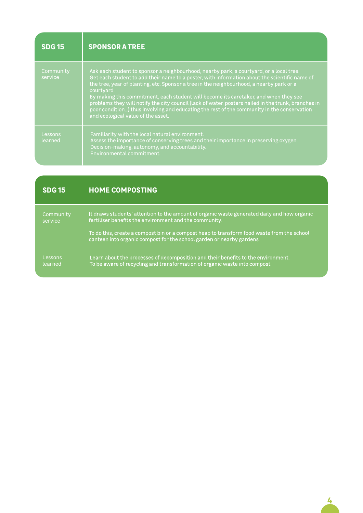| <b>SDG 15</b>        | <b>SPONSOR A TREE</b>                                                                                                                                                                                                                                                                                                                                                                                                                                                                                                                                                                                                                 |
|----------------------|---------------------------------------------------------------------------------------------------------------------------------------------------------------------------------------------------------------------------------------------------------------------------------------------------------------------------------------------------------------------------------------------------------------------------------------------------------------------------------------------------------------------------------------------------------------------------------------------------------------------------------------|
| Community<br>service | Ask each student to sponsor a neighbourhood, nearby park, a courtyard, or a local tree.<br>Get each student to add their name to a poster, with information about the scientific name of<br>the tree, year of planting, etc. Sponsor a tree in the neighbourhood, a nearby park or a<br>courtyard.<br>By making this commitment, each student will become its caretaker, and when they see<br>problems they will notify the city council (lack of water, posters nailed in the trunk, branches in<br>poor condition) thus involving and educating the rest of the community in the conservation<br>and ecological value of the asset. |
| Lessons<br>learned   | Familiarity with the local natural environment.<br>Assess the importance of conserving trees and their importance in preserving oxygen.<br>Decision-making, autonomy, and accountability.<br>Environmental commitment.                                                                                                                                                                                                                                                                                                                                                                                                                |

| <b>SDG 15</b>        | <b>HOME COMPOSTING</b>                                                                                                                                                                                                                                                                                                       |
|----------------------|------------------------------------------------------------------------------------------------------------------------------------------------------------------------------------------------------------------------------------------------------------------------------------------------------------------------------|
| Community<br>service | It draws students' attention to the amount of organic waste generated daily and how organic<br>fertiliser benefits the environment and the community.<br>To do this, create a compost bin or a compost heap to transform food waste from the school<br>canteen into organic compost for the school garden or nearby gardens. |
| Lessons<br>learned   | Learn about the processes of decomposition and their benefits to the environment.<br>To be aware of recycling and transformation of organic waste into compost.                                                                                                                                                              |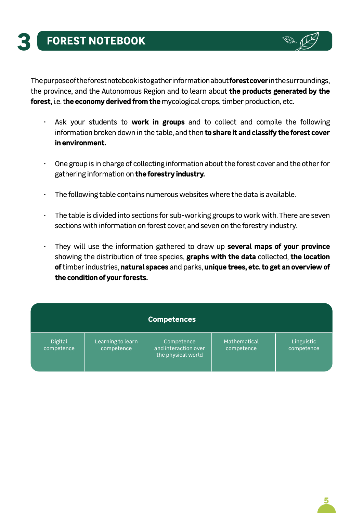The purpose of the forest notebook is to gather information about **forest cover** in the surroundings, the province, and the Autonomous Region and to learn about **the products generated by the forest**, i.e. t**he economy derived from the** mycological crops, timber production, etc.

- Ask your students to **work in groups** and to collect and compile the following information broken down in the table, and then **to share it and classify the forest cover in environment.**
- One group is in charge of collecting information about the forest cover and the other for gathering information on **the forestry industry.**
- $\cdot$  The following table contains numerous websites where the data is available.
- The table is divided into sections for sub-working groups to work with. There are seven sections with information on forest cover, and seven on the forestry industry.
- They will use the information gathered to draw up **several maps of your province**  showing the distribution of tree species, **graphs with the data** collected, **the location of** timber industries, **natural spaces** and parks, **unique trees, etc. to get an overview of the condition of your forests.**

|                       |                                 | <b>Competences</b>                                       |                            |                          |
|-----------------------|---------------------------------|----------------------------------------------------------|----------------------------|--------------------------|
| Digital<br>competence | Learning to learn<br>competence | Competence<br>and interaction over<br>the physical world | Mathematical<br>competence | Linguistic<br>competence |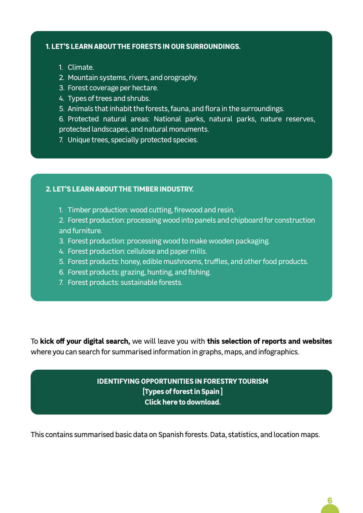#### **1. LET'S LEARN ABOUT THE FORESTS IN OUR SURROUNDINGS.**

- 1. Climate.
- 2. Mountain systems, rivers, and orography.
- 3. Forest coverage per hectare.
- 4. Types of trees and shrubs.
- 5. Animals that inhabit the forests, fauna, and flora in the surroundings.

6. Protected natural areas: National parks, natural parks, nature reserves, protected landscapes, and natural monuments.

7. Unique trees, specially protected species.

#### **2. LET'S LEARN ABOUT THE TIMBER INDUSTRY.**

1. Timber production: wood cutting, firewood and resin.

2. Forest production: processing wood into panels and chipboard for construction and furniture.

3. Forest production: processing wood to make wooden packaging.

- 4. Forest production: cellulose and paper mills.
- 5. Forest products: honey, edible mushrooms, truffles, and other food products.
- 6. Forest products: grazing, hunting, and fishing.
- 7. Forest products: sustainable forests.

To **kick off your digital search,** we will leave you with **this selection of reports and websites** where you can search for summarised information in graphs, maps, and infographics.

#### **IDENTIFYING OPPORTUNITIES IN FORESTRY TOURISM [Types of forest in Spain ] Click here to download.**

This contains summarised basic data on Spanish forests. Data, statistics, and location maps.

**6**